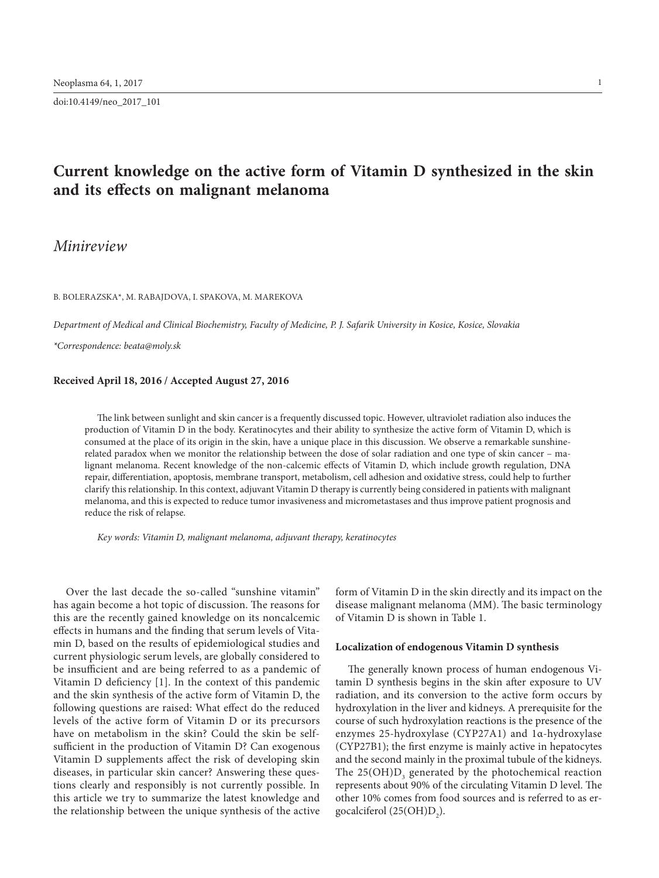doi:10.4149/neo\_2017\_101

# **Current knowledge on the active form of Vitamin D synthesized in the skin and its effects on malignant melanoma**

# *Minireview*

B. Bolerazska\*, M. Rabajdova, I. Spakova, M. Marekova

*Department of Medical and Clinical Biochemistry, Faculty of Medicine, P. J. Safarik University in Kosice, Kosice, Slovakia*

*\*Correspondence: [beata@moly.sk](mailto:beata@moly.sk)*

## **Received April 18, 2016 / Accepted August 27, 2016**

The link between sunlight and skin cancer is a frequently discussed topic. However, ultraviolet radiation also induces the production of Vitamin D in the body. Keratinocytes and their ability to synthesize the active form of Vitamin D, which is consumed at the place of its origin in the skin, have a unique place in this discussion. We observe a remarkable sunshinerelated paradox when we monitor the relationship between the dose of solar radiation and one type of skin cancer – malignant melanoma. Recent knowledge of the non-calcemic effects of Vitamin D, which include growth regulation, DNA repair, differentiation, apoptosis, membrane transport, metabolism, cell adhesion and oxidative stress, could help to further clarify this relationship. In this context, adjuvant Vitamin D therapy is currently being considered in patients with malignant melanoma, and this is expected to reduce tumor invasiveness and micrometastases and thus improve patient prognosis and reduce the risk of relapse.

*Key words: Vitamin D, malignant melanoma, adjuvant therapy, keratinocytes*

Over the last decade the so-called "sunshine vitamin" has again become a hot topic of discussion. The reasons for this are the recently gained knowledge on its noncalcemic effects in humans and the finding that serum levels of Vitamin D, based on the results of epidemiological studies and current physiologic serum levels, are globally considered to be insufficient and are being referred to as a pandemic of Vitamin D deficiency [1]. In the context of this pandemic and the skin synthesis of the active form of Vitamin D, the following questions are raised: What effect do the reduced levels of the active form of Vitamin D or its precursors have on metabolism in the skin? Could the skin be selfsufficient in the production of Vitamin D? Can exogenous Vitamin D supplements affect the risk of developing skin diseases, in particular skin cancer? Answering these questions clearly and responsibly is not currently possible. In this article we try to summarize the latest knowledge and the relationship between the unique synthesis of the active

form of Vitamin D in the skin directly and its impact on the disease malignant melanoma (MM). The basic terminology of Vitamin D is shown in Table 1.

#### **Localization of endogenous Vitamin D synthesis**

The generally known process of human endogenous Vitamin D synthesis begins in the skin after exposure to UV radiation, and its conversion to the active form occurs by hydroxylation in the liver and kidneys. A prerequisite for the course of such hydroxylation reactions is the presence of the enzymes 25-hydroxylase (CYP27A1) and 1α-hydroxylase (CYP27B1); the first enzyme is mainly active in hepatocytes and the second mainly in the proximal tubule of the kidneys. The  $25(OH)D_3$  generated by the photochemical reaction represents about 90% of the circulating Vitamin D level. The other 10% comes from food sources and is referred to as ergocalciferol (25(OH) $D_2$ ).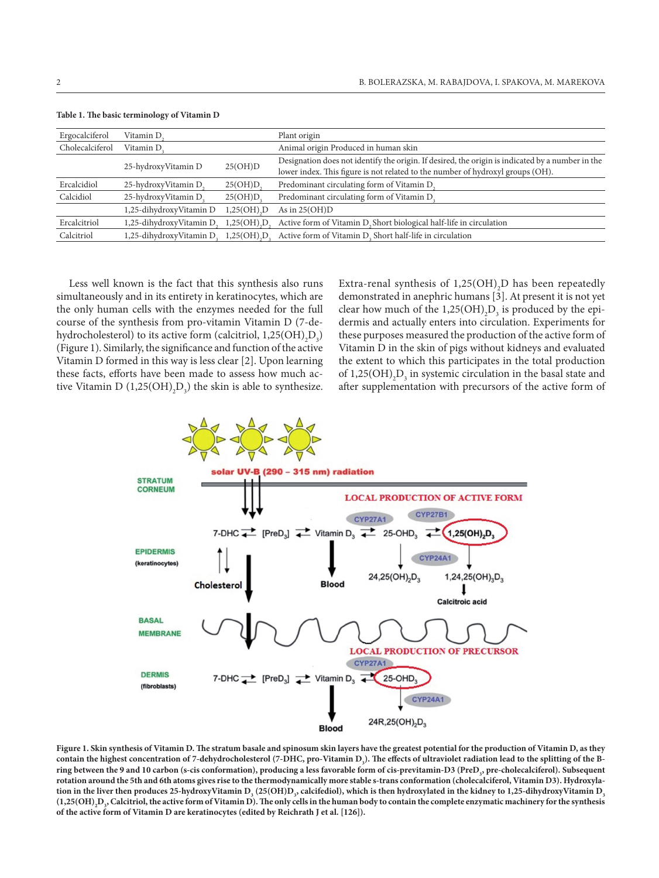| Ergocalciferol  | Vitamin D.               |                                          | Plant origin                                                                                                                                                                       |
|-----------------|--------------------------|------------------------------------------|------------------------------------------------------------------------------------------------------------------------------------------------------------------------------------|
| Cholecalciferol | Vitamin D.               |                                          | Animal origin Produced in human skin                                                                                                                                               |
|                 | 25-hydroxyVitamin D      | 25(OH)D                                  | Designation does not identify the origin. If desired, the origin is indicated by a number in the<br>lower index. This figure is not related to the number of hydroxyl groups (OH). |
| Ercalcidiol     | 25-hydroxyVitamin D      | 25(OH)D                                  | Predominant circulating form of Vitamin D.                                                                                                                                         |
| Calcidiol       | 25-hydroxyVitamin D.     | 25(OH)D                                  | Predominant circulating form of Vitamin D.                                                                                                                                         |
|                 | 1,25-dihydroxyVitamin D  | $1,25(OH)$ <sub>D</sub>                  | As in $25(OH)D$                                                                                                                                                                    |
| Ercalcitriol    | 1,25-dihydroxyVitamin D. | $1,25(OH)$ <sub>,</sub> $D_$             | Active form of Vitamin D, Short biological half-life in circulation                                                                                                                |
| Calcitriol      | 1,25-dihydroxyVitamin D. | $1,25(OH)$ <sub>,</sub> $D$ <sub>,</sub> | Active form of Vitamin D. Short half-life in circulation                                                                                                                           |
|                 |                          |                                          |                                                                                                                                                                                    |

**Table 1. The basic terminology of Vitamin D**

Less well known is the fact that this synthesis also runs simultaneously and in its entirety in keratinocytes, which are the only human cells with the enzymes needed for the full course of the synthesis from pro-vitamin Vitamin D (7-dehydrocholesterol) to its active form (calcitriol,  $1,25(OH)_{2}D_{3}$ ) (Figure 1). Similarly, the significance and function of the active Vitamin D formed in this way is less clear [2]. Upon learning these facts, efforts have been made to assess how much active Vitamin D  $(1,25(OH)_2D_3)$  the skin is able to synthesize.

Extra-renal synthesis of  $1,25(OH)$ <sub>2</sub>D has been repeatedly demonstrated in anephric humans [3]. At present it is not yet clear how much of the  $1,25(OH)$ <sub>2</sub>D<sub>3</sub> is produced by the epidermis and actually enters into circulation. Experiments for these purposes measured the production of the active form of Vitamin D in the skin of pigs without kidneys and evaluated the extent to which this participates in the total production of  $1,25(OH)_{2}D_{3}$  in systemic circulation in the basal state and after supplementation with precursors of the active form of



**Figure 1. Skin synthesis of Vitamin D. The stratum basale and spinosum skin layers have the greatest potential for the production of Vitamin D, as they**  contain the highest concentration of 7-dehydrocholesterol (7-DHC, pro-Vitamin D<sub>3</sub>). The effects of ultraviolet radiation lead to the splitting of the B**ring between the 9 and 10 carbon (s-cis conformation), producing a less favorable form of cis-previtamin-D3 (PreD3 , pre-cholecalciferol). Subsequent rotation around the 5th and 6th atoms gives rise to the thermodynamically more stable s-trans conformation (cholecalciferol, Vitamin D3). Hydroxyla**tion in the liver then produces 25-hydroxyVitamin D<sub>3</sub> (25(OH)D<sub>3</sub>, calcifediol), which is then hydroxylated in the kidney to 1,25-dihydroxyVitamin D<sub>3</sub>  $(1,25(OH),D_s$ , Calcitriol, the active form of Vitamin D). The only cells in the human body to contain the complete enzymatic machinery for the synthesis **of the active form of Vitamin D are keratinocytes (edited by Reichrath J et al. [126]).**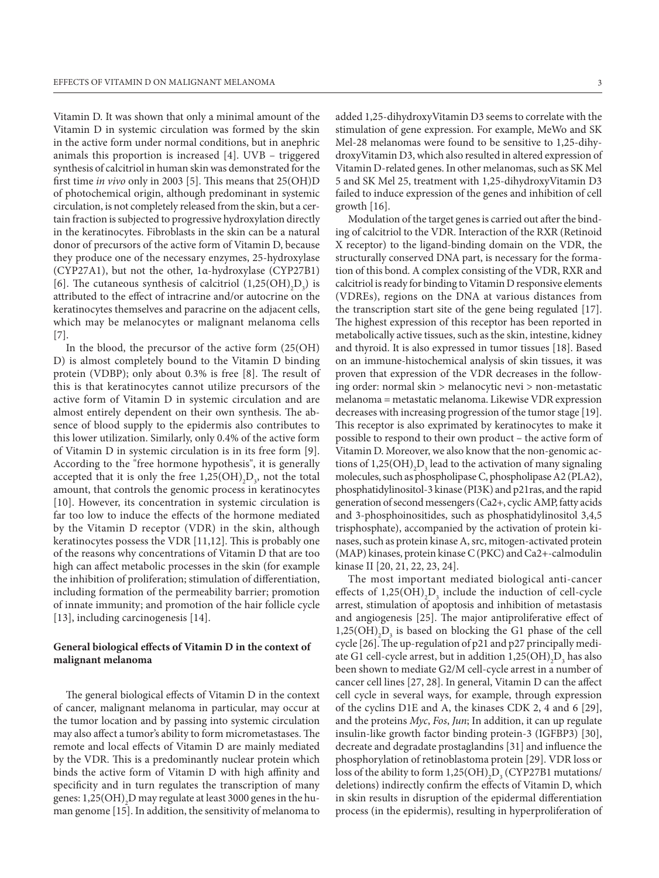Vitamin D. It was shown that only a minimal amount of the Vitamin D in systemic circulation was formed by the skin in the active form under normal conditions, but in anephric animals this proportion is increased [4]. UVB – triggered synthesis of calcitriol in human skin was demonstrated for the first time *in vivo* only in 2003 [5]. This means that 25(OH)D of photochemical origin, although predominant in systemic circulation, is not completely released from the skin, but a certain fraction is subjected to progressive hydroxylation directly in the keratinocytes. Fibroblasts in the skin can be a natural donor of precursors of the active form of Vitamin D, because they produce one of the necessary enzymes, 25-hydroxylase (CYP27A1), but not the other, 1α-hydroxylase (CYP27B1) [6]. The cutaneous synthesis of calcitriol  $(1,25(OH)_2D_3)$  is attributed to the effect of intracrine and/or autocrine on the keratinocytes themselves and paracrine on the adjacent cells, which may be melanocytes or malignant melanoma cells [7].

In the blood, the precursor of the active form (25(OH) D) is almost completely bound to the Vitamin D binding protein (VDBP); only about 0.3% is free [8]. The result of this is that keratinocytes cannot utilize precursors of the active form of Vitamin D in systemic circulation and are almost entirely dependent on their own synthesis. The absence of blood supply to the epidermis also contributes to this lower utilization. Similarly, only 0.4% of the active form of Vitamin D in systemic circulation is in its free form [9]. According to the "free hormone hypothesis", it is generally accepted that it is only the free  $1,25(OH)_{2}D_{3}$ , not the total amount, that controls the genomic process in keratinocytes [10]. However, its concentration in systemic circulation is far too low to induce the effects of the hormone mediated by the Vitamin D receptor (VDR) in the skin, although keratinocytes possess the VDR [11,12]. This is probably one of the reasons why concentrations of Vitamin D that are too high can affect metabolic processes in the skin (for example the inhibition of proliferation; stimulation of differentiation, including formation of the permeability barrier; promotion of innate immunity; and promotion of the hair follicle cycle [13], including carcinogenesis [14].

# **General biological effects of Vitamin D in the context of malignant melanoma**

The general biological effects of Vitamin D in the context of cancer, malignant melanoma in particular, may occur at the tumor location and by passing into systemic circulation may also affect a tumor's ability to form micrometastases. The remote and local effects of Vitamin D are mainly mediated by the VDR. This is a predominantly nuclear protein which binds the active form of Vitamin D with high affinity and specificity and in turn regulates the transcription of many genes:  $1,\!25({\rm OH})_{\rm 2} {\rm D}$  may regulate at least 3000 genes in the human genome [15]. In addition, the sensitivity of melanoma to

added 1,25-dihydroxyVitamin D3 seems to correlate with the stimulation of gene expression. For example, MeWo and SK Mel-28 melanomas were found to be sensitive to 1,25-dihydroxyVitamin D3, which also resulted in altered expression of Vitamin D-related genes. In other melanomas, such as SK Mel 5 and SK Mel 25, treatment with 1,25-dihydroxyVitamin D3 failed to induce expression of the genes and inhibition of cell growth [16].

Modulation of the target genes is carried out after the binding of calcitriol to the VDR. Interaction of the RXR (Retinoid X receptor) to the ligand-binding domain on the VDR, the structurally conserved DNA part, is necessary for the formation of this bond. A complex consisting of the VDR, RXR and calcitriol is ready for binding to Vitamin D responsive elements (VDREs), regions on the DNA at various distances from the transcription start site of the gene being regulated [17]. The highest expression of this receptor has been reported in metabolically active tissues, such as the skin, intestine, kidney and thyroid. It is also expressed in tumor tissues [18]. Based on an immune-histochemical analysis of skin tissues, it was proven that expression of the VDR decreases in the following order: normal skin > melanocytic nevi > non-metastatic melanoma = metastatic melanoma. Likewise VDR expression decreases with increasing progression of the tumor stage [19]. This receptor is also exprimated by keratinocytes to make it possible to respond to their own product – the active form of Vitamin D. Moreover, we also know that the non-genomic actions of  $1,25(OH)_{2}D_{3}$  lead to the activation of many signaling molecules, such as phospholipase C, phospholipase A2 (PLA2), phosphatidylinositol-3 kinase (PI3K) and p21ras, and the rapid generation of second messengers (Ca2+, cyclic AMP, fatty acids and 3-phosphoinositides, such as phosphatidylinositol 3,4,5 trisphosphate), accompanied by the activation of protein kinases, such as protein kinase A, src, mitogen-activated protein (MAP) kinases, protein kinase C(PKC) and Ca2+-calmodulin kinase II [20, 21, 22, 23, 24].

The most important mediated biological anti-cancer effects of  $1,25(OH)_{2}D_{3}$  include the induction of cell-cycle arrest, stimulation of apoptosis and inhibition of metastasis and angiogenesis [25]. The major antiproliferative effect of  $1,25(OH)$ <sub>2</sub>D<sub>3</sub> is based on blocking the G1 phase of the cell cycle [26]. The up-regulation of p21 and p27 principally mediate G1 cell-cycle arrest, but in addition  $1,25(OH)_{2}D_{3}$  has also been shown to mediate G2/M cell-cycle arrest in a number of cancer cell lines [27, 28]. In general, Vitamin D can the affect cell cycle in several ways, for example, through expression of the cyclins D1E and A, the kinases CDK 2, 4 and 6 [29], and the proteins *Myc*, *Fos*, *Jun*; In addition, it can up regulate insulin-like growth factor binding protein-3 (IGFBP3) [30], decreate and degradate prostaglandins [31] and influence the phosphorylation of retinoblastoma protein [29]. VDR loss or loss of the ability to form  $1,25(OH)_{2}D_{3}$  (CYP27B1 mutations/ deletions) indirectly confirm the effects of Vitamin D, which in skin results in disruption of the epidermal differentiation process (in the epidermis), resulting in hyperproliferation of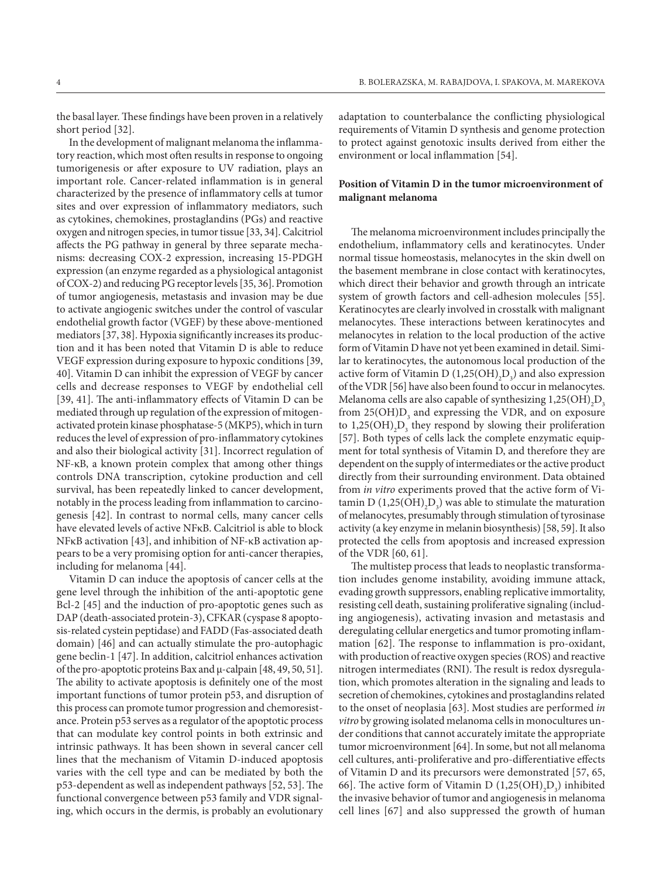the basal layer. These findings have been proven in a relatively short period [32].

In the development of malignant melanoma the inflammatory reaction, which most often results in response to ongoing tumorigenesis or after exposure to UV radiation, plays an important role. Cancer-related inflammation is in general characterized by the presence of inflammatory cells at tumor sites and over expression of inflammatory mediators, such as cytokines, chemokines, prostaglandins (PGs) and reactive oxygen and nitrogen species, in tumor tissue [33, 34]. Calcitriol affects the PG pathway in general by three separate mechanisms: decreasing COX-2 expression, increasing 15-PDGH expression (an enzyme regarded as a physiological antagonist of COX-2) and reducing PG receptor levels [35, 36]. Promotion of tumor angiogenesis, metastasis and invasion may be due to activate angiogenic switches under the control of vascular endothelial growth factor (VGEF) by these above-mentioned mediators [37, 38]. Hypoxia significantly increases its production and it has been noted that Vitamin D is able to reduce VEGF expression during exposure to hypoxic conditions [39, 40]. Vitamin D can inhibit the expression of VEGF by cancer cells and decrease responses to VEGF by endothelial cell [39, 41]. The anti-inflammatory effects of Vitamin D can be mediated through up regulation of the expression of mitogenactivated protein kinase phosphatase-5 (MKP5), which in turn reduces the level of expression of pro-inflammatory cytokines and also their biological activity [31]. Incorrect regulation of NF-κB, a known protein complex that among other things controls DNA transcription, cytokine production and cell survival, has been repeatedly linked to cancer development, notably in the process leading from inflammation to carcinogenesis [42]. In contrast to normal cells, many cancer cells have elevated levels of active NFκB. Calcitriol is able to block NFκB activation [43], and inhibition of NF-κB activation appears to be a very promising option for anti-cancer therapies, including for melanoma [44].

Vitamin D can induce the apoptosis of cancer cells at the gene level through the inhibition of the anti-apoptotic gene Bcl-2 [45] and the induction of pro-apoptotic genes such as DAP (death-associated protein-3), CFKAR (cyspase 8 apoptosis-related cystein peptidase) and FADD (Fas-associated death domain) [46] and can actually stimulate the pro-autophagic gene beclin-1 [47]. In addition, calcitriol enhances activation of the pro-apoptotic proteins Bax and μ-calpain [48, 49, 50, 51]. The ability to activate apoptosis is definitely one of the most important functions of tumor protein p53, and disruption of this process can promote tumor progression and chemoresistance. Protein p53 serves as a regulator of the apoptotic process that can modulate key control points in both extrinsic and intrinsic pathways. It has been shown in several cancer cell lines that the mechanism of Vitamin D-induced apoptosis varies with the cell type and can be mediated by both the p53-dependent as well as independent pathways [52, 53]. The functional convergence between p53 family and VDR signaling, which occurs in the dermis, is probably an evolutionary adaptation to counterbalance the conflicting physiological requirements of Vitamin D synthesis and genome protection to protect against genotoxic insults derived from either the environment or local inflammation [54].

## **Position of Vitamin D in the tumor microenvironment of malignant melanoma**

The melanoma microenvironment includes principally the endothelium, inflammatory cells and keratinocytes. Under normal tissue homeostasis, melanocytes in the skin dwell on the basement membrane in close contact with keratinocytes, which direct their behavior and growth through an intricate system of growth factors and cell-adhesion molecules [55]. Keratinocytes are clearly involved in crosstalk with malignant melanocytes. These interactions between keratinocytes and melanocytes in relation to the local production of the active form of Vitamin D have not yet been examined in detail. Similar to keratinocytes, the autonomous local production of the active form of Vitamin D  $(1,25(OH)_2D_3)$  and also expression of the VDR [56] have also been found to occur in melanocytes. Melanoma cells are also capable of synthesizing  $1,25(OH)_{2}D_{3}$ from  $25(OH)D_3$  and expressing the VDR, and on exposure to  $1,25(OH)_{2}D_{3}$  they respond by slowing their proliferation [57]. Both types of cells lack the complete enzymatic equipment for total synthesis of Vitamin D, and therefore they are dependent on the supply of intermediates or the active product directly from their surrounding environment. Data obtained from *in vitro* experiments proved that the active form of Vitamin D (1,25(OH)<sub>2</sub>D<sub>3</sub>) was able to stimulate the maturation of melanocytes, presumably through stimulation of tyrosinase activity (a key enzyme in melanin biosynthesis) [58, 59]. It also protected the cells from apoptosis and increased expression of the VDR [60, 61].

The multistep process that leads to neoplastic transformation includes genome instability, avoiding immune attack, evading growth suppressors, enabling replicative immortality, resisting cell death, sustaining proliferative signaling (including angiogenesis), activating invasion and metastasis and deregulating cellular energetics and tumor promoting inflammation [62]. The response to inflammation is pro-oxidant, with production of reactive oxygen species (ROS) and reactive nitrogen intermediates (RNI). The result is redox dysregulation, which promotes alteration in the signaling and leads to secretion of chemokines, cytokines and prostaglandins related to the onset of neoplasia [63]. Most studies are performed *in vitro* by growing isolated melanoma cells in monocultures under conditions that cannot accurately imitate the appropriate tumor microenvironment [64]. In some, but not all melanoma cell cultures, anti-proliferative and pro-differentiative effects of Vitamin D and its precursors were demonstrated [57, 65, 66]. The active form of Vitamin D  $(1,25(OH)_{2}D_{3})$  inhibited the invasive behavior of tumor and angiogenesis in melanoma cell lines [67] and also suppressed the growth of human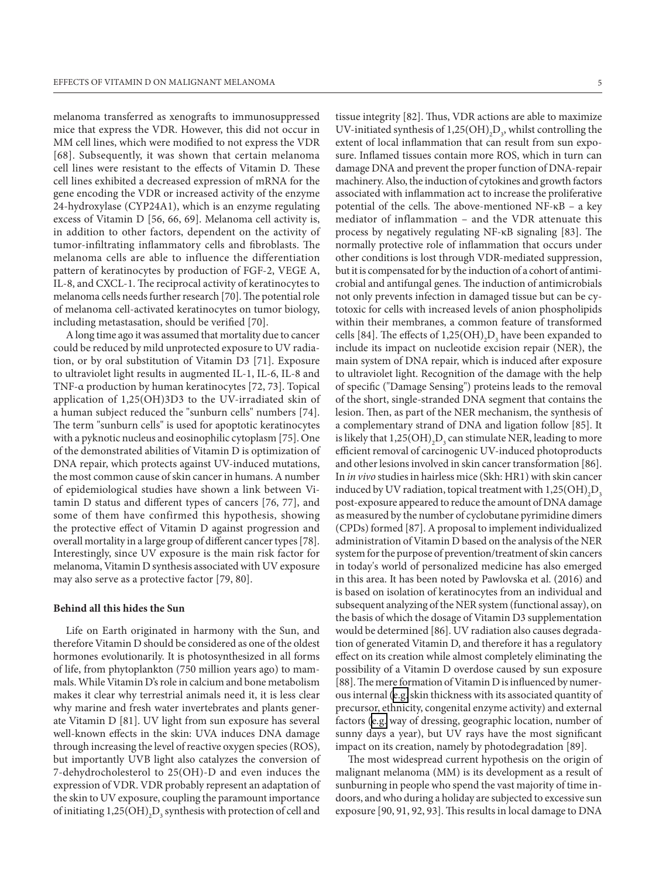melanoma transferred as xenografts to immunosuppressed mice that express the VDR. However, this did not occur in MM cell lines, which were modified to not express the VDR [68]. Subsequently, it was shown that certain melanoma cell lines were resistant to the effects of Vitamin D. These cell lines exhibited a decreased expression of mRNA for the gene encoding the VDR or increased activity of the enzyme 24-hydroxylase (CYP24A1), which is an enzyme regulating excess of Vitamin D [56, 66, 69]. Melanoma cell activity is, in addition to other factors, dependent on the activity of tumor-infiltrating inflammatory cells and fibroblasts. The melanoma cells are able to influence the differentiation pattern of keratinocytes by production of FGF-2, VEGE A, IL-8, and CXCL-1. The reciprocal activity of keratinocytes to melanoma cells needs further research [70]. The potential role of melanoma cell-activated keratinocytes on tumor biology, including metastasation, should be verified [70].

A long time ago it was assumed that mortality due to cancer could be reduced by mild unprotected exposure to UV radiation, or by oral substitution of Vitamin D3 [71]. Exposure to ultraviolet light results in augmented IL-1, IL-6, IL-8 and TNF-α production by human keratinocytes [72, 73]. Topical application of 1,25(OH)3D3 to the UV-irradiated skin of a human subject reduced the "sunburn cells" numbers [74]. The term "sunburn cells" is used for apoptotic keratinocytes with a pyknotic nucleus and eosinophilic cytoplasm [75]. One of the demonstrated abilities of Vitamin D is optimization of DNA repair, which protects against UV-induced mutations, the most common cause of skin cancer in humans. A number of epidemiological studies have shown a link between Vitamin D status and different types of cancers [76, 77], and some of them have confirmed this hypothesis, showing the protective effect of Vitamin D against progression and overall mortality in a large group of different cancer types [78]. Interestingly, since UV exposure is the main risk factor for melanoma, Vitamin D synthesis associated with UV exposure may also serve as a protective factor [79, 80].

#### **Behind all this hides the Sun**

Life on Earth originated in harmony with the Sun, and therefore Vitamin D should be considered as one of the oldest hormones evolutionarily. It is photosynthesized in all forms of life, from phytoplankton (750 million years ago) to mammals. While Vitamin D's role in calcium and bone metabolism makes it clear why terrestrial animals need it, it is less clear why marine and fresh water invertebrates and plants generate Vitamin D [81]. UV light from sun exposure has several well-known effects in the skin: UVA induces DNA damage through increasing the level of reactive oxygen species (ROS), but importantly UVB light also catalyzes the conversion of 7-dehydrocholesterol to 25(OH)-D and even induces the expression of VDR. VDR probably represent an adaptation of the skin to UV exposure, coupling the paramount importance of initiating  $1,25(OH)_{2}D_{3}$  synthesis with protection of cell and

tissue integrity [82]. Thus, VDR actions are able to maximize UV-initiated synthesis of  $1,25(OH)_{2}D_{3}$ , whilst controlling the extent of local inflammation that can result from sun exposure. Inflamed tissues contain more ROS, which in turn can damage DNA and prevent the proper function of DNA-repair machinery. Also, the induction of cytokines and growth factors associated with inflammation act to increase the proliferative potential of the cells. The above-mentioned NF-κB – a key mediator of inflammation – and the VDR attenuate this process by negatively regulating NF-κB signaling [83]. The normally protective role of inflammation that occurs under other conditions is lost through VDR-mediated suppression, but it is compensated for by the induction of a cohort of antimicrobial and antifungal genes. The induction of antimicrobials not only prevents infection in damaged tissue but can be cytotoxic for cells with increased levels of anion phospholipids within their membranes, a common feature of transformed cells [84]. The effects of  $1,25(OH)_{2}D_{3}$  have been expanded to include its impact on nucleotide excision repair (NER), the main system of DNA repair, which is induced after exposure to ultraviolet light. Recognition of the damage with the help of specific ("Damage Sensing") proteins leads to the removal of the short, single-stranded DNA segment that contains the lesion. Then, as part of the NER mechanism, the synthesis of a complementary strand of DNA and ligation follow [85]. It is likely that  $1,\!25({\rm OH})_2{\rm D}_3$  can stimulate NER, leading to more efficient removal of carcinogenic UV-induced photoproducts and other lesions involved in skin cancer transformation [86]. In *in vivo* studies in hairless mice (Skh: HR1) with skin cancer induced by UV radiation, topical treatment with  $1,25(OH)_{2}D_{3}$ post-exposure appeared to reduce the amount of DNA damage as measured by the number of cyclobutane pyrimidine dimers (CPDs) formed [87]. A proposal to implement individualized administration of Vitamin D based on the analysis of the NER system for the purpose of prevention/treatment of skin cancers in today's world of personalized medicine has also emerged in this area. It has been noted by Pawlovska et al. (2016) and is based on isolation of keratinocytes from an individual and subsequent analyzing of the NER system (functional assay), on the basis of which the dosage of Vitamin D3 supplementation would be determined [86]. UV radiation also causes degradation of generated Vitamin D, and therefore it has a regulatory effect on its creation while almost completely eliminating the possibility of a Vitamin D overdose caused by sun exposure [88]. The mere formation of Vitamin D is influenced by numerous internal ([e.g.](https://en.wiktionary.org/wiki/e.g.) skin thickness with its associated quantity of precursor, ethnicity, congenital enzyme activity) and external factors [\(e.g.](https://en.wiktionary.org/wiki/e.g.) way of dressing, geographic location, number of sunny days a year), but UV rays have the most significant impact on its creation, namely by photodegradation [89].

The most widespread current hypothesis on the origin of malignant melanoma (MM) is its development as a result of sunburning in people who spend the vast majority of time indoors, and who during a holiday are subjected to excessive sun exposure [90, 91, 92, 93]. This results in local damage to DNA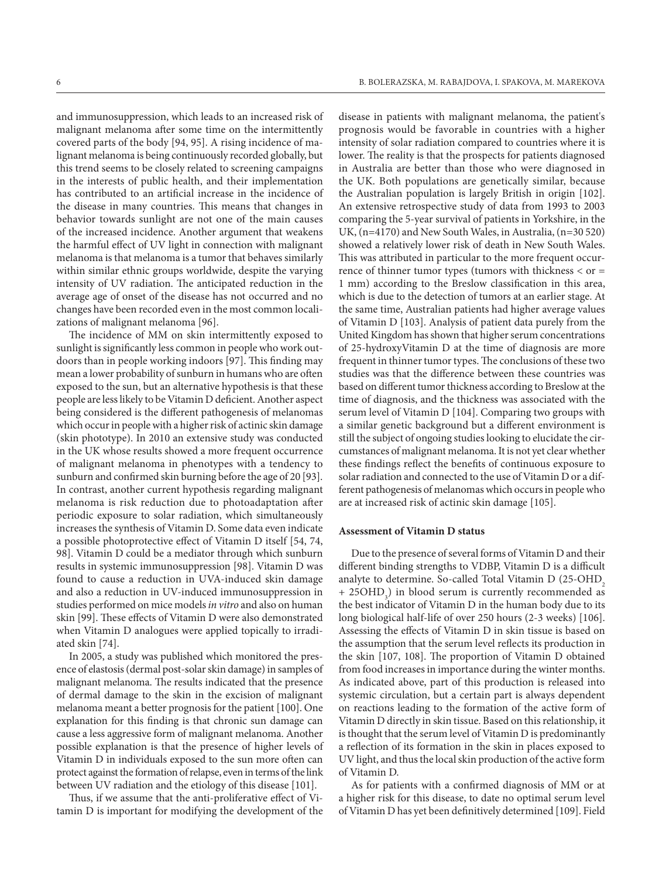and immunosuppression, which leads to an increased risk of malignant melanoma after some time on the intermittently covered parts of the body [94, 95]. A rising incidence of malignant melanoma is being continuously recorded globally, but this trend seems to be closely related to screening campaigns in the interests of public health, and their implementation has contributed to an artificial increase in the incidence of the disease in many countries. This means that changes in behavior towards sunlight are not one of the main causes of the increased incidence. Another argument that weakens the harmful effect of UV light in connection with malignant melanoma is that melanoma is a tumor that behaves similarly within similar ethnic groups worldwide, despite the varying intensity of UV radiation. The anticipated reduction in the average age of onset of the disease has not occurred and no changes have been recorded even in the most common localizations of malignant melanoma [96].

The incidence of MM on skin intermittently exposed to sunlight is significantly less common in people who work outdoors than in people working indoors [97]. This finding may mean a lower probability of sunburn in humans who are often exposed to the sun, but an alternative hypothesis is that these people are less likely to be Vitamin D deficient. Another aspect being considered is the different pathogenesis of melanomas which occur in people with a higher risk of actinic skin damage (skin phototype). In 2010 an extensive study was conducted in the UK whose results showed a more frequent occurrence of malignant melanoma in phenotypes with a tendency to sunburn and confirmed skin burning before the age of 20 [93]. In contrast, another current hypothesis regarding malignant melanoma is risk reduction due to photoadaptation after periodic exposure to solar radiation, which simultaneously increases the synthesis of Vitamin D. Some data even indicate a possible photoprotective effect of Vitamin D itself [54, 74, 98]. Vitamin D could be a mediator through which sunburn results in systemic immunosuppression [98]. Vitamin D was found to cause a reduction in UVA-induced skin damage and also a reduction in UV-induced immunosuppression in studies performed on mice models *in vitro* and also on human skin [99]. These effects of Vitamin D were also demonstrated when Vitamin D analogues were applied topically to irradiated skin [74].

In 2005, a study was published which monitored the presence of elastosis (dermal post-solar skin damage) in samples of malignant melanoma. The results indicated that the presence of dermal damage to the skin in the excision of malignant melanoma meant a better prognosis for the patient [100]. One explanation for this finding is that chronic sun damage can cause a less aggressive form of malignant melanoma. Another possible explanation is that the presence of higher levels of Vitamin D in individuals exposed to the sun more often can protect against the formation of relapse, even in terms of the link between UV radiation and the etiology of this disease [101].

Thus, if we assume that the anti-proliferative effect of Vitamin D is important for modifying the development of the disease in patients with malignant melanoma, the patient's prognosis would be favorable in countries with a higher intensity of solar radiation compared to countries where it is lower. The reality is that the prospects for patients diagnosed in Australia are better than those who were diagnosed in the UK. Both populations are genetically similar, because the Australian population is largely British in origin [102]. An extensive retrospective study of data from 1993 to 2003 comparing the 5-year survival of patients in Yorkshire, in the UK, (n=4170) and New South Wales, in Australia, (n=30 520) showed a relatively lower risk of death in New South Wales. This was attributed in particular to the more frequent occurrence of thinner tumor types (tumors with thickness < or = 1 mm) according to the Breslow classification in this area, which is due to the detection of tumors at an earlier stage. At the same time, Australian patients had higher average values of Vitamin D [103]. Analysis of patient data purely from the United Kingdom has shown that higher serum concentrations of 25-hydroxyVitamin D at the time of diagnosis are more frequent in thinner tumor types. The conclusions of these two studies was that the difference between these countries was based on different tumor thickness according to Breslow at the time of diagnosis, and the thickness was associated with the serum level of Vitamin D [104]. Comparing two groups with a similar genetic background but a different environment is still the subject of ongoing studies looking to elucidate the circumstances of malignant melanoma. It is not yet clear whether these findings reflect the benefits of continuous exposure to solar radiation and connected to the use of Vitamin D or a different pathogenesis of melanomas which occurs in people who are at increased risk of actinic skin damage [105].

#### **Assessment of Vitamin D status**

Due to the presence of several forms of Vitamin D and their different binding strengths to VDBP, Vitamin D is a difficult analyte to determine. So-called Total Vitamin D (25-OHD, + 25OHD<sub>3</sub>) in blood serum is currently recommended as the best indicator of Vitamin D in the human body due to its long biological half-life of over 250 hours (2-3 weeks) [106]. Assessing the effects of Vitamin D in skin tissue is based on the assumption that the serum level reflects its production in the skin [107, 108]. The proportion of Vitamin D obtained from food increases in importance during the winter months. As indicated above, part of this production is released into systemic circulation, but a certain part is always dependent on reactions leading to the formation of the active form of Vitamin D directly in skin tissue. Based on this relationship, it is thought that the serum level of Vitamin D is predominantly a reflection of its formation in the skin in places exposed to UV light, and thus the local skin production of the active form of Vitamin D.

As for patients with a confirmed diagnosis of MM or at a higher risk for this disease, to date no optimal serum level of Vitamin D has yet been definitively determined [109]. Field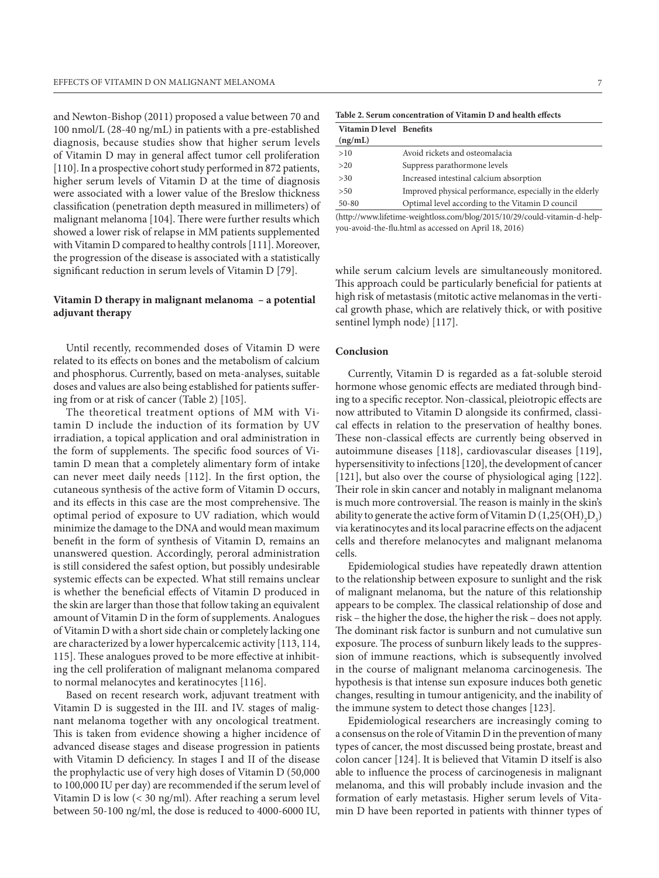and Newton-Bishop (2011) proposed a value between 70 and 100 nmol/L (28-40 ng/mL) in patients with a pre-established diagnosis, because studies show that higher serum levels of Vitamin D may in general affect tumor cell proliferation [110]. In a prospective cohort study performed in 872 patients, higher serum levels of Vitamin D at the time of diagnosis were associated with a lower value of the Breslow thickness classification (penetration depth measured in millimeters) of malignant melanoma [104]. There were further results which showed a lower risk of relapse in MM patients supplemented with Vitamin D compared to healthy controls [111]. Moreover, the progression of the disease is associated with a statistically significant reduction in serum levels of Vitamin D [79].

# **Vitamin D therapy in malignant melanoma – a potential adjuvant therapy**

Until recently, recommended doses of Vitamin D were related to its effects on bones and the metabolism of calcium and phosphorus. Currently, based on meta-analyses, suitable doses and values are also being established for patients suffering from or at risk of cancer (Table 2) [105].

The theoretical treatment options of MM with Vitamin D include the induction of its formation by UV irradiation, a topical application and oral administration in the form of supplements. The specific food sources of Vitamin D mean that a completely alimentary form of intake can never meet daily needs [112]. In the first option, the cutaneous synthesis of the active form of Vitamin D occurs, and its effects in this case are the most comprehensive. The optimal period of exposure to UV radiation, which would minimize the damage to the DNA and would mean maximum benefit in the form of synthesis of Vitamin D, remains an unanswered question. Accordingly, peroral administration is still considered the safest option, but possibly undesirable systemic effects can be expected. What still remains unclear is whether the beneficial effects of Vitamin D produced in the skin are larger than those that follow taking an equivalent amount of Vitamin D in the form of supplements. Analogues of Vitamin D with a short side chain or completely lacking one are characterized by a lower hypercalcemic activity [113, 114, 115]. These analogues proved to be more effective at inhibiting the cell proliferation of malignant melanoma compared to normal melanocytes and keratinocytes [116].

Based on recent research work, adjuvant treatment with Vitamin D is suggested in the III. and IV. stages of malignant melanoma together with any oncological treatment. This is taken from evidence showing a higher incidence of advanced disease stages and disease progression in patients with Vitamin D deficiency. In stages I and II of the disease the prophylactic use of very high doses of Vitamin D (50,000 to 100,000 IU per day) are recommended if the serum level of Vitamin D is low (< 30 ng/ml). After reaching a serum level between 50-100 ng/ml, the dose is reduced to 4000-6000 IU,

| Table 2. Serum concentration of Vitamin D and health effects |  |
|--------------------------------------------------------------|--|
|                                                              |  |

| Vitamin D level Benefits |                                                          |
|--------------------------|----------------------------------------------------------|
| (ng/mL)                  |                                                          |
| >10                      | Avoid rickets and osteomalacia                           |
| >20                      | Suppress parathormone levels                             |
| >30                      | Increased intestinal calcium absorption                  |
| > 50                     | Improved physical performance, especially in the elderly |
| $50 - 80$                | Optimal level according to the Vitamin D council         |

(http://www.lifetime-weightloss.com/blog/2015/10/29/could-vitamin-d-helpyou-avoid-the-flu.html as accessed on April 18, 2016)

while serum calcium levels are simultaneously monitored. This approach could be particularly beneficial for patients at high risk of metastasis (mitotic active melanomas in the vertical growth phase, which are relatively thick, or with positive sentinel lymph node) [117].

#### **Conclusion**

Currently, Vitamin D is regarded as a fat-soluble steroid hormone whose genomic effects are mediated through binding to a specific receptor. Non-classical, pleiotropic effects are now attributed to Vitamin D alongside its confirmed, classical effects in relation to the preservation of healthy bones. These non-classical effects are currently being observed in autoimmune diseases [118], cardiovascular diseases [119], hypersensitivity to infections [120], the development of cancer [121], but also over the course of physiological aging [122]. Their role in skin cancer and notably in malignant melanoma is much more controversial. The reason is mainly in the skin's ability to generate the active form of Vitamin D  $(1,25(OH)_2D_3)$ via keratinocytes and its local paracrine effects on the adjacent cells and therefore melanocytes and malignant melanoma cells.

Epidemiological studies have repeatedly drawn attention to the relationship between exposure to sunlight and the risk of malignant melanoma, but the nature of this relationship appears to be complex. The classical relationship of dose and risk – the higher the dose, the higher the risk – does not apply. The dominant risk factor is sunburn and not cumulative sun exposure. The process of sunburn likely leads to the suppression of immune reactions, which is subsequently involved in the course of malignant melanoma carcinogenesis. The hypothesis is that intense sun exposure induces both genetic changes, resulting in tumour antigenicity, and the inability of the immune system to detect those changes [123].

Epidemiological researchers are increasingly coming to a consensus on the role of Vitamin D in the prevention of many types of cancer, the most discussed being prostate, breast and colon cancer [124]. It is believed that Vitamin D itself is also able to influence the process of carcinogenesis in malignant melanoma, and this will probably include invasion and the formation of early metastasis. Higher serum levels of Vitamin D have been reported in patients with thinner types of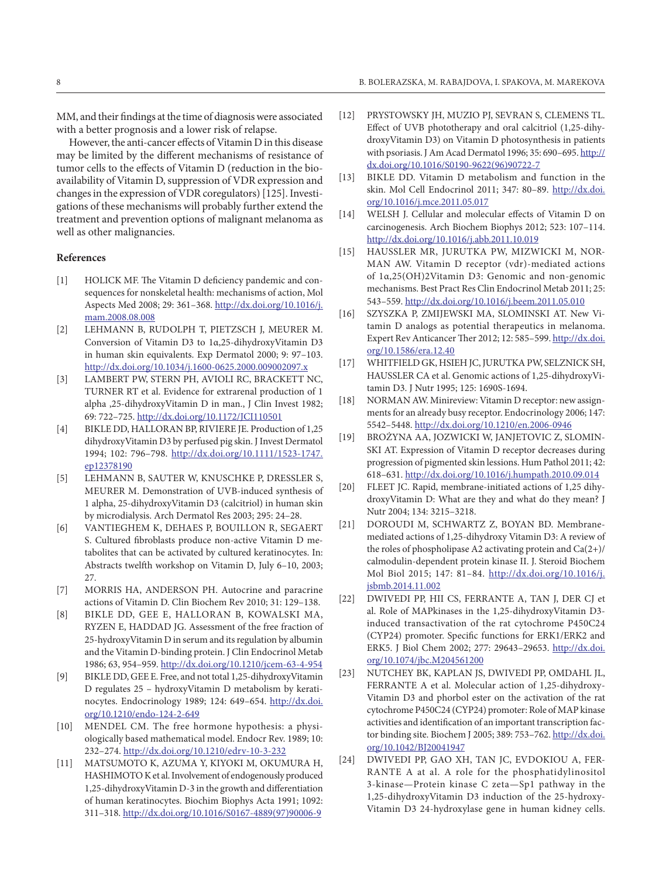MM, and their findings at the time of diagnosis were associated with a better prognosis and a lower risk of relapse.

However, the anti-cancer effects of Vitamin D in this disease may be limited by the different mechanisms of resistance of tumor cells to the effects of Vitamin D (reduction in the bioavailability of Vitamin D, suppression of VDR expression and changes in the expression of VDR coregulators) [125]. Investigations of these mechanisms will probably further extend the treatment and prevention options of malignant melanoma as well as other malignancies.

#### **References**

- [1] HOLICK MF. The Vitamin D deficiency pandemic and consequences for nonskeletal health: mechanisms of action, Mol Aspects Med 2008; 29: 361–368. [http://dx.doi.org/10.1016/j.](http://dx.doi.org/10.1016/j.mam.2008.08.008) [mam.2008.08.008](http://dx.doi.org/10.1016/j.mam.2008.08.008)
- [2] LEHMANN B, RUDOLPH T, PIETZSCH J, MEURER M. Conversion of Vitamin D3 to 1α,25-dihydroxyVitamin D3 in human skin equivalents. Exp Dermatol 2000; 9: 97–103. <http://dx.doi.org/10.1034/j.1600-0625.2000.009002097.x>
- [3] LAMBERT PW, STERN PH, AVIOLI RC, BRACKETT NC, TURNER RT et al. Evidence for extrarenal production of 1 alpha ,25-dihydroxyVitamin D in man., J Clin Invest 1982; 69: 722–725. <http://dx.doi.org/10.1172/JCI110501>
- [4] BIKLE DD, HALLORAN BP, RIVIERE JE. Production of 1,25 dihydroxyVitamin D3 by perfused pig skin. J Invest Dermatol 1994; 102: 796–798. [http://dx.doi.org/10.1111/1523-1747.](http://dx.doi.org/10.1111/1523-1747.ep12378190) [ep12378190](http://dx.doi.org/10.1111/1523-1747.ep12378190)
- [5] Lehmann B, Sauter W, Knuschke P, Dressler S, MEURER M. Demonstration of UVB-induced synthesis of 1 alpha, 25-dihydroxyVitamin D3 (calcitriol) in human skin by microdialysis. Arch Dermatol Res 2003; 295: 24–28.
- [6] Vantieghem K, Dehaes P, Bouillon R, Segaert S. Cultured fibroblasts produce non-active Vitamin D metabolites that can be activated by cultured keratinocytes. In: Abstracts twelfth workshop on Vitamin D, July 6–10, 2003; 27.
- [7] MORRIS HA, ANDERSON PH. Autocrine and paracrine actions of Vitamin D. Clin Biochem Rev 2010; 31: 129–138.
- [8] BIKLE DD, GEE E, HALLORAN B, KOWALSKI MA, RYZEN E, HADDAD JG. Assessment of the free fraction of 25-hydroxyVitamin D in serum and its regulation by albumin and the Vitamin D-binding protein. J Clin Endocrinol Metab 1986; 63, 954–959.<http://dx.doi.org/10.1210/jcem-63-4-954>
- [9] BIKLE DD, GEE E. Free, and not total 1,25-dihydroxyVitamin D regulates 25 – hydroxyVitamin D metabolism by keratinocytes. Endocrinology 1989; 124: 649–654. [http://dx.doi.](http://dx.doi.org/10.1210/endo-124-2-649) [org/10.1210/endo-124-2-649](http://dx.doi.org/10.1210/endo-124-2-649)
- [10] MENDEL CM. The free hormone hypothesis: a physiologically based mathematical model. Endocr Rev. 1989; 10: 232–274. <http://dx.doi.org/10.1210/edrv-10-3-232>
- [11] MATSUMOTO K, AZUMA Y, KIYOKI M, OKUMURA H, HASHIMOTOK et al. Involvement of endogenously produced 1,25-dihydroxyVitamin D-3 in the growth and differentiation of human keratinocytes. Biochim Biophys Acta 1991; 1092: 311–318. [http://dx.doi.org/10.1016/S0167-4889\(97\)90006-9](http://dx.doi.org/10.1016/S0167-4889%2897%2990006-9)
- [12] PRYSTOWSKY JH, MUZIO PJ, SEVRAN S, CLEMENS TL. Effect of UVB phototherapy and oral calcitriol (1,25-dihydroxyVitamin D3) on Vitamin D photosynthesis in patients with psoriasis. J Am Acad Dermatol 1996; 35: 690-695. [http://](http://dx.doi.org/10.1016/S0190-9622%2896%2990722-7) [dx.doi.org/10.1016/S0190-9622\(96\)90722-7](http://dx.doi.org/10.1016/S0190-9622%2896%2990722-7)
- [13] BIKLE DD. Vitamin D metabolism and function in the skin. Mol Cell Endocrinol 2011; 347: 80–89. [http://dx.doi.](http://dx.doi.org/10.1016/j.mce.2011.05.017) [org/10.1016/j.mce.2011.05.017](http://dx.doi.org/10.1016/j.mce.2011.05.017)
- [14] WELSH J. Cellular and molecular effects of Vitamin D on carcinogenesis. Arch Biochem Biophys 2012; 523: 107–114. http://dx.doi.org/10.1016/j.abb.2011.10.019
- [15] HAUSSLER MR, JURUTKA PW, MIZWICKI M, NOR-MAN AW. Vitamin D receptor (vdr)-mediated actions of 1α,25(OH)2Vitamin D3: Genomic and non-genomic mechanisms. Best Pract Res Clin Endocrinol Metab 2011; 25: 543–559.<http://dx.doi.org/10.1016/j.beem.2011.05.010>
- [16] SZYSZKA P, ZMIJEWSKI MA, SLOMINSKI AT. New Vitamin D analogs as potential therapeutics in melanoma. Expert Rev Anticancer Ther 2012; 12: 585–599. [http://dx.doi.](http://dx.doi.org/10.1586/era.12.40) [org/10.1586/era.12.40](http://dx.doi.org/10.1586/era.12.40)
- [17] WHITFIELD GK, HSIEH JC, JURUTKA PW, SELZNICK SH, HAUSSLER CA et al. Genomic actions of 1,25-dihydroxyVitamin D3. J Nutr 1995; 125: 1690S-1694.
- [18] NORMAN AW. Minireview: Vitamin D receptor: new assignments for an already busy receptor. Endocrinology 2006; 147: 5542–5448. <http://dx.doi.org/10.1210/en.2006-0946>
- [19] BROŻYNA AA, JOZWICKI W, JANJETOVIC Z, SLOMIN-SKI AT. Expression of Vitamin D receptor decreases during progression of pigmented skin lessions. Hum Pathol 2011; 42: 618–631.<http://dx.doi.org/10.1016/j.humpath.2010.09.014>
- [20] FLEET JC. Rapid, membrane-initiated actions of 1,25 dihydroxyVitamin D: What are they and what do they mean? J Nutr 2004; 134: 3215–3218.
- [21] DOROUDI M, SCHWARTZ Z, BOYAN BD. Membranemediated actions of 1,25-dihydroxy Vitamin D3: A review of the roles of phospholipase A2 activating protein and Ca(2+)/ calmodulin-dependent protein kinase II. J. Steroid Biochem Mol Biol 2015; 147: 81–84. [http://dx.doi.org/10.1016/j.](http://dx.doi.org/10.1016/j.jsbmb.2014.11.002) [jsbmb.2014.11.002](http://dx.doi.org/10.1016/j.jsbmb.2014.11.002)
- [22] DWIVEDI PP, HII CS, FERRANTE A, TAN J, DER CJ et al. Role of MAPkinases in the 1,25-dihydroxyVitamin D3 induced transactivation of the rat cytochrome P450C24 (CYP24) promoter. Specific functions for ERK1/ERK2 and ERK5. J Biol Chem 2002; 277: 29643–29653. [http://dx.doi.](http://dx.doi.org/10.1074/jbc.M204561200) [org/10.1074/jbc.M204561200](http://dx.doi.org/10.1074/jbc.M204561200)
- [23] NUTCHEY BK, KAPLAN JS, DWIVEDI PP, OMDAHL JL, FERRANTE A et al. Molecular action of 1,25-dihydroxy-Vitamin D3 and phorbol ester on the activation of the rat cytochrome P450C24 (CYP24) promoter: Role of MAP kinase activities and identification of an important transcription factor binding site. Biochem J 2005; 389: 753–762. [http://dx.doi.](http://dx.doi.org/10.1042/BJ20041947) [org/10.1042/BJ20041947](http://dx.doi.org/10.1042/BJ20041947)
- [24] DWIVEDI PP, GAO XH, TAN JC, EVDOKIOU A, FER-RANTE A at al. A role for the phosphatidylinositol 3-kinase—Protein kinase C zeta—Sp1 pathway in the 1,25-dihydroxyVitamin D3 induction of the 25-hydroxy-Vitamin D3 24-hydroxylase gene in human kidney cells.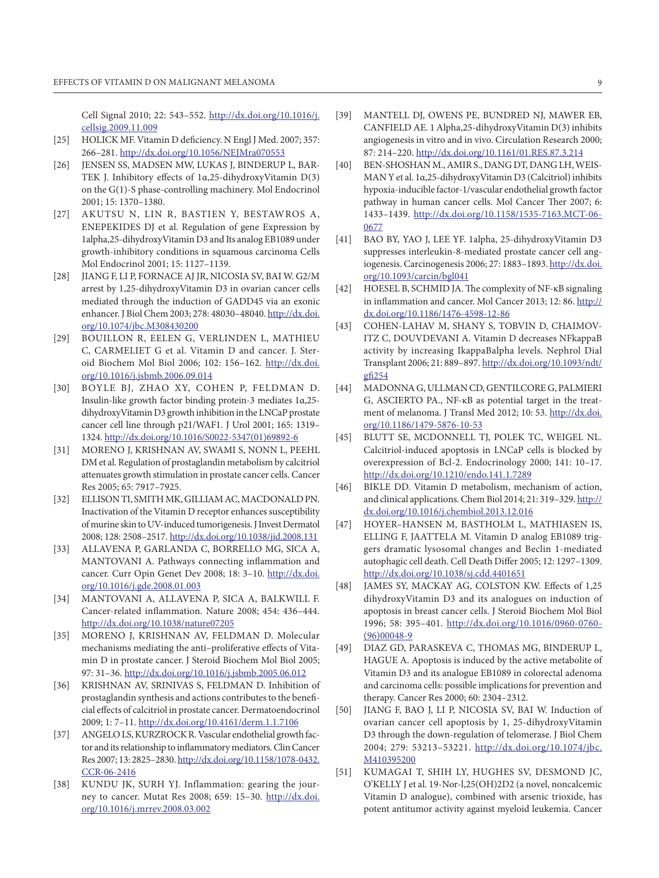Cell Signal 2010; 22: 543–552. [http://dx.doi.org/10.1016/j.](http://dx.doi.org/10.1016/j.cellsig.2009.11.009) [cellsig.2009.11.009](http://dx.doi.org/10.1016/j.cellsig.2009.11.009)

- [25] HOLICK MF. Vitamin D deficiency. N Engl J Med. 2007; 357: 266–281.<http://dx.doi.org/10.1056/NEJMra070553>
- [26] JENSEN SS, MADSEN MW, LUKAS J, BINDERUP L, BAR-TEK J. Inhibitory effects of 1α,25-dihydroxyVitamin D(3) on the G(1)-S phase-controlling machinery. Mol Endocrinol 2001; 15: 1370–1380.
- [27] Akutsu N, Lin R, Bastien Y, Bestawros A, ENEPEKIDES DJ et al. Regulation of gene Expression by 1alpha,25-dihydroxyVitamin D3 and Its analog EB1089 under growth-inhibitory conditions in squamous carcinoma Cells Mol Endocrinol 2001; 15: 1127–1139.
- [28] JIANG F, LI P, FORNACE AJ JR, NICOSIA SV, BAI W. G2/M arrest by 1,25-dihydroxyVitamin D3 in ovarian cancer cells mediated through the induction of GADD45 via an exonic enhancer. J Biol Chem 2003; 278: 48030–48040. [http://dx.doi.](http://dx.doi.org/10.1074/jbc.M308430200) [org/10.1074/jbc.M308430200](http://dx.doi.org/10.1074/jbc.M308430200)
- [29] BOUILLON R, EELEN G, VERLINDEN L, MATHIEU C, CARMELIET G et al. Vitamin D and cancer. J. Steroid Biochem Mol Biol 2006; 102: 156–162. [http://dx.doi.](http://dx.doi.org/10.1016/j.jsbmb.2006.09.014) [org/10.1016/j.jsbmb.2006.09.014](http://dx.doi.org/10.1016/j.jsbmb.2006.09.014)
- [30] BOYLE BJ, ZHAO XY, COHEN P, FELDMAN D. Insulin-like growth factor binding protein-3 mediates 1α,25 dihydroxyVitamin D3 growth inhibition in the LNCaP prostate cancer cell line through p21/WAF1. J Urol 2001; 165: 1319– 1324. [http://dx.doi.org/10.1016/S0022-5347\(01\)69892-6](http://dx.doi.org/10.1016/S0022-5347%2801%2969892-6)
- [31] Moreno J, KRISHNAN AV, SWAMI S, NONN L, PEEHL DM et al. Regulation of prostaglandin metabolism by calcitriol attenuates growth stimulation in prostate cancer cells. Cancer Res 2005; 65: 7917–7925.
- [32] ELLISON TI, SMITH MK, GILLIAM AC, MACDONALDPN. Inactivation of the Vitamin D receptor enhances susceptibility of murine skin to UV-induced tumorigenesis. J Invest Dermatol 2008; 128: 2508–2517.<http://dx.doi.org/10.1038/jid.2008.131>
- [33] ALLAVENA P, GARLANDA C, BORRELLO MG, SICA A, MANTOVANI A. Pathways connecting inflammation and cancer. Curr Opin Genet Dev 2008; 18: 3-10. [http://dx.doi.](http://dx.doi.org/10.1016/j.gde.2008.01.003) [org/10.1016/j.gde.2008.01.003](http://dx.doi.org/10.1016/j.gde.2008.01.003)
- [34] MANTOVANI A, ALLAVENA P, SICA A, BALKWILL F. Cancer-related inflammation. Nature 2008; 454: 436–444. <http://dx.doi.org/10.1038/nature07205>
- [35] MORENO J, KRISHNAN AV, FELDMAN D. Molecular mechanisms mediating the anti–proliferative effects of Vitamin D in prostate cancer. J Steroid Biochem Mol Biol 2005; 97: 31–36.<http://dx.doi.org/10.1016/j.jsbmb.2005.06.012>
- [36] KRISHNAN AV, SRINIVAS S, FELDMAN D. Inhibition of prostaglandin synthesis and actions contributes to the beneficial effects of calcitriol in prostate cancer. Dermatoendocrinol 2009; 1: 7–11.<http://dx.doi.org/10.4161/derm.1.1.7106>
- [37] ANGELO LS, KURZROCK R. Vascular endothelial growth factor and its relationship to inflammatory mediators. Clin Cancer Res 2007; 13: 2825–2830. [http://dx.doi.org/10.1158/1078-0432.](http://dx.doi.org/10.1158/1078-0432.CCR-06-2416) [CCR-06-2416](http://dx.doi.org/10.1158/1078-0432.CCR-06-2416)
- [38] KUNDU JK, SURH YJ. Inflammation: gearing the journey to cancer. Mutat Res 2008; 659: 15–30. [http://dx.doi.](http://dx.doi.org/10.1016/j.mrrev.2008.03.002) [org/10.1016/j.mrrev.2008.03.002](http://dx.doi.org/10.1016/j.mrrev.2008.03.002)
- [39] MANTELL DJ, OWENS PE, BUNDRED NJ, MAWER EB, CANFIELD AE. 1 Alpha,25-dihydroxyVitamin D(3) inhibits angiogenesis in vitro and in vivo. Circulation Research 2000; 87: 214–220.<http://dx.doi.org/10.1161/01.RES.87.3.214>
- [40] BEN-SHOSHAN M., AMIRS., DANG DT, DANG LH, WEIS-MAN Y et al. 1α,25-dihydroxyVitamin D3 (Calcitriol) inhibits hypoxia-inducible factor-1/vascular endothelial growth factor pathway in human cancer cells. Mol Cancer Ther 2007; 6: 1433–1439. [http://dx.doi.org/10.1158/1535-7163.MCT-06-](http://dx.doi.org/10.1158/1535-7163.MCT-06-0677) [0677](http://dx.doi.org/10.1158/1535-7163.MCT-06-0677)
- [41] BAO BY, YAO J, LEE YF. 1alpha, 25-dihydroxyVitamin D3 suppresses interleukin-8-mediated prostate cancer cell angiogenesis. Carcinogenesis 2006; 27: 1883–1893. [http://dx.doi.](http://dx.doi.org/10.1093/carcin/bgl041) [org/10.1093/carcin/bgl041](http://dx.doi.org/10.1093/carcin/bgl041)
- [42] HOESEL B, SCHMID JA. The complexity of NF-κB signaling in inflammation and cancer. Mol Cancer 2013; 12: 86. [http://](http://dx.doi.org/10.1186/1476-4598-12-86) [dx.doi.org/10.1186/1476-4598-12-86](http://dx.doi.org/10.1186/1476-4598-12-86)
- [43] COHEN-LAHAV M, SHANY S, TOBVIN D, CHAIMOV-ITZ C, DOUVDEVANI A. Vitamin D decreases NFkappaB activity by increasing IkappaBalpha levels. Nephrol Dial Transplant 2006; 21: 889–897. [http://dx.doi.org/10.1093/ndt/](http://dx.doi.org/10.1093/ndt/gfi254) [gfi254](http://dx.doi.org/10.1093/ndt/gfi254)
- [44] MADONNA G, ULLMAN CD, GENTILCORE G, PALMIERI G, ASCIERTO PA., NF-κB as potential target in the treatment of melanoma. J Transl Med 2012; 10: 53. [http://dx.doi.](http://dx.doi.org/10.1186/1479-5876-10-53) [org/10.1186/1479-5876-10-53](http://dx.doi.org/10.1186/1479-5876-10-53)
- [45] BLUTT SE, MCDONNELL TJ, POLEK TC, WEIGEL NL. Calcitriol-induced apoptosis in LNCaP cells is blocked by overexpression of Bcl-2. Endocrinology 2000; 141: 10–17. <http://dx.doi.org/10.1210/endo.141.1.7289>
- [46] BIKLE DD. Vitamin D metabolism, mechanism of action, and clinical applications. Chem Biol 2014; 21: 319–329. [http://](http://dx.doi.org/10.1016/j.chembiol.2013.12.016) [dx.doi.org/10.1016/j.chembiol.2013.12.016](http://dx.doi.org/10.1016/j.chembiol.2013.12.016)
- [47] HOYER–HANSEN M, BASTHOLM L, MATHIASEN IS, ELLING F, JAATTELA M. Vitamin D analog EB1089 triggers dramatic lysosomal changes and Beclin 1-mediated autophagic cell death. Cell Death Differ 2005; 12: 1297–1309. <http://dx.doi.org/10.1038/sj.cdd.4401651>
- [48] JAMES SY, MACKAY AG, COLSTON KW. Effects of 1,25 dihydroxyVitamin D3 and its analogues on induction of apoptosis in breast cancer cells. J Steroid Biochem Mol Biol 1996; 58: 395–401. [http://dx.doi.org/10.1016/0960-0760-](http://dx.doi.org/10.1016/0960-0760%2896%2900048-9) [\(96\)00048-9](http://dx.doi.org/10.1016/0960-0760%2896%2900048-9)
- [49] DIAZ GD, PARASKEVA C, THOMAS MG, BINDERUP L, HAGUE A. Apoptosis is induced by the active metabolite of Vitamin D3 and its analogue EB1089 in colorectal adenoma and carcinoma cells: possible implications for prevention and therapy. Cancer Res 2000; 60: 2304–2312.
- [50] JIANG F, BAO J, LI P, NICOSIA SV, BAI W. Induction of ovarian cancer cell apoptosis by 1, 25-dihydroxyVitamin D3 through the down-regulation of telomerase. J Biol Chem 2004; 279: 53213–53221. [http://dx.doi.org/10.1074/jbc.](http://dx.doi.org/10.1074/jbc.M410395200) [M410395200](http://dx.doi.org/10.1074/jbc.M410395200)
- [51] KUMAGAI T, SHIH LY, HUGHES SV, DESMOND JC, O'KELLY J et al. 19-Nor-l,25(OH)2D2 (a novel, noncalcemic Vitamin D analogue), combined with arsenic trioxide, has potent antitumor activity against myeloid leukemia. Cancer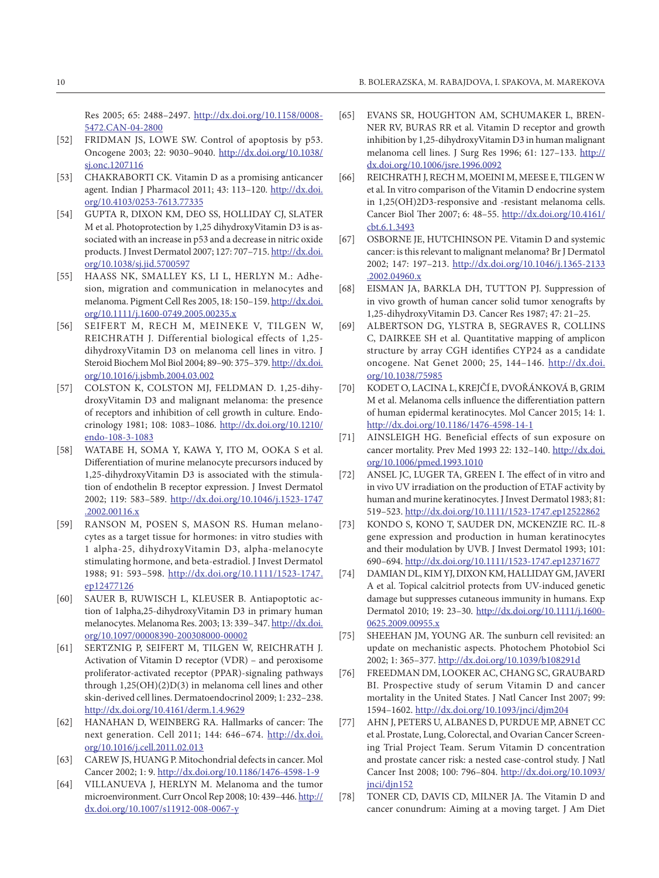Res 2005; 65: 2488–2497. [http://dx.doi.org/10.1158/0008-](http://dx.doi.org/10.1158/0008-5472.CAN-04-2800) [5472.CAN-04-2800](http://dx.doi.org/10.1158/0008-5472.CAN-04-2800)

- [52] FRIDMAN JS, LOWE SW. Control of apoptosis by p53. Oncogene 2003; 22: 9030–9040. [http://dx.doi.org/10.1038/](http://dx.doi.org/10.1038/sj.onc.1207116) [sj.onc.1207116](http://dx.doi.org/10.1038/sj.onc.1207116)
- [53] CHAKRABORTI CK. Vitamin D as a promising anticancer agent. Indian J Pharmacol 2011; 43: 113–120. [http://dx.doi.](http://dx.doi.org/10.4103/0253-7613.77335) [org/10.4103/0253-7613.77335](http://dx.doi.org/10.4103/0253-7613.77335)
- [54] GUPTA R, DIXON KM, DEO SS, HOLLIDAY CJ, SLATER M et al. Photoprotection by 1,25 dihydroxyVitamin D3 is associated with an increase in p53 and a decrease in nitric oxide products. J Invest Dermatol 2007; 127: 707–715. [http://dx.doi.](http://dx.doi.org/10.1038/sj.jid.5700597) [org/10.1038/sj.jid.5700597](http://dx.doi.org/10.1038/sj.jid.5700597)
- [55] Haass NK, Smalley KS, Li L, Herlyn M.: Adhesion, migration and communication in melanocytes and melanoma. Pigment Cell Res 2005, 18: 150–159. [http://dx.doi.](http://dx.doi.org/10.1111/j.1600-0749.2005.00235.x) [org/10.1111/j.1600-0749.2005.00235.x](http://dx.doi.org/10.1111/j.1600-0749.2005.00235.x)
- [56] Seifert M, Rech M, Meineke V, Tilgen W, REICHRATH J. Differential biological effects of 1,25dihydroxyVitamin D3 on melanoma cell lines in vitro. J Steroid Biochem Mol Biol 2004; 89–90: 375–379. [http://dx.doi.](http://dx.doi.org/10.1016/j.jsbmb.2004.03.002) [org/10.1016/j.jsbmb.2004.03.002](http://dx.doi.org/10.1016/j.jsbmb.2004.03.002)
- [57] COLSTON K, COLSTON MJ, FELDMAN D. 1,25-dihydroxyVitamin D3 and malignant melanoma: the presence of receptors and inhibition of cell growth in culture. Endocrinology 1981; 108: 1083–1086. [http://dx.doi.org/10.1210/](http://dx.doi.org/10.1210/endo-108-3-1083) [endo-108-3-1083](http://dx.doi.org/10.1210/endo-108-3-1083)
- [58] WATABE H, SOMA Y, KAWA Y, ITO M, OOKA S et al. Differentiation of murine melanocyte precursors induced by 1,25-dihydroxyVitamin D3 is associated with the stimulation of endothelin B receptor expression. J Invest Dermatol 2002; 119: 583–589. [http://dx.doi.org/10.1046/j.1523-1747](http://dx.doi.org/10.1046/j.1523-1747.2002.00116.x) [.2002.00116.x](http://dx.doi.org/10.1046/j.1523-1747.2002.00116.x)
- [59] RANSON M, POSEN S, MASON RS. Human melanocytes as a target tissue for hormones: in vitro studies with 1 alpha-25, dihydroxyVitamin D3, alpha-melanocyte stimulating hormone, and beta-estradiol. J Invest Dermatol 1988; 91: 593–598. [http://dx.doi.org/10.1111/1523-1747.](http://dx.doi.org/10.1111/1523-1747.ep12477126) [ep12477126](http://dx.doi.org/10.1111/1523-1747.ep12477126)
- [60] SAUER B, RUWISCH L, KLEUSER B. Antiapoptotic action of 1alpha,25-dihydroxyVitamin D3 in primary human melanocytes. Melanoma Res. 2003; 13: 339–347. [http://dx.doi.](http://dx.doi.org/10.1097/00008390-200308000-00002) [org/10.1097/00008390-200308000-00002](http://dx.doi.org/10.1097/00008390-200308000-00002)
- [61] SERTZNIG P, SEIFERT M, TILGEN W, REICHRATH J. Activation of Vitamin D receptor (VDR) – and peroxisome proliferator-activated receptor (PPAR)-signaling pathways through 1,25(OH)(2)D(3) in melanoma cell lines and other skin-derived cell lines. Dermatoendocrinol 2009; 1: 232–238. <http://dx.doi.org/10.4161/derm.1.4.9629>
- [62] HANAHAN D, WEINBERG RA. Hallmarks of cancer: The next generation. Cell 2011; 144: 646–674. [http://dx.doi.](http://dx.doi.org/10.1016/j.cell.2011.02.013) [org/10.1016/j.cell.2011.02.013](http://dx.doi.org/10.1016/j.cell.2011.02.013)
- [63] CAREW JS, HUANG P. Mitochondrial defects in cancer. Mol Cancer 2002; 1: 9. <http://dx.doi.org/10.1186/1476-4598-1-9>
- [64] VILLANUEVA J, HERLYN M. Melanoma and the tumor microenvironment. Curr Oncol Rep 2008; 10: 439–446. [http://](http://dx.doi.org/10.1007/s11912-008-0067-y) [dx.doi.org/10.1007/s11912-008-0067-y](http://dx.doi.org/10.1007/s11912-008-0067-y)
- [65] EVANS SR, HOUGHTON AM, SCHUMAKER L, BREN-NER RV, BURAS RR et al. Vitamin D receptor and growth inhibition by 1,25-dihydroxyVitamin D3 in human malignant melanoma cell lines. J Surg Res 1996; 61: 127–133. [http://](http://dx.doi.org/10.1006/jsre.1996.0092) [dx.doi.org/10.1006/jsre.1996.0092](http://dx.doi.org/10.1006/jsre.1996.0092)
- [66] REICHRATH J, RECH M, MOEINI M, MEESE E, TILGEN W et al. In vitro comparison of the Vitamin D endocrine system in 1,25(OH)2D3-responsive and -resistant melanoma cells. Cancer Biol Ther 2007; 6: 48–55. [http://dx.doi.org/10.4161/](http://dx.doi.org/10.4161/cbt.6.1.3493) [cbt.6.1.3493](http://dx.doi.org/10.4161/cbt.6.1.3493)
- [67] OSBORNE JE, HUTCHINSON PE. Vitamin D and systemic cancer: is this relevant to malignant melanoma? Br J Dermatol 2002; 147: 197–213. [http://dx.doi.org/10.1046/j.1365-2133](http://dx.doi.org/10.1046/j.1365-2133.2002.04960.x) [.2002.04960.x](http://dx.doi.org/10.1046/j.1365-2133.2002.04960.x)
- [68] EISMAN JA, BARKLA DH, TUTTON PJ. Suppression of in vivo growth of human cancer solid tumor xenografts by 1,25-dihydroxyVitamin D3. Cancer Res 1987; 47: 21–25.
- [69] ALBERTSON DG, YLSTRA B, SEGRAVES R, COLLINS C, DAIRKEE SH et al. Quantitative mapping of amplicon structure by array CGH identifies CYP24 as a candidate oncogene. Nat Genet 2000; 25, 144–146. http://dx.doi. org/10.1038/75985
- [70] KODET O, LACINAL, KREJČÍ E, DVOŘÁNKOVÁ B, GRIM M et al. Melanoma cells influence the differentiation pattern of human epidermal keratinocytes. Mol Cancer 2015; 14: 1. <http://dx.doi.org/10.1186/1476-4598-14-1>
- [71] AINSLEIGH HG. Beneficial effects of sun exposure on cancer mortality. Prev Med 1993 22: 132–140. [http://dx.doi.](http://dx.doi.org/10.1006/pmed.1993.1010) [org/10.1006/pmed.1993.1010](http://dx.doi.org/10.1006/pmed.1993.1010)
- [72] ANSEL JC, LUGER TA, GREEN I. The effect of in vitro and in vivo UV irradiation on the production of ETAF activity by human and murine keratinocytes. J Invest Dermatol 1983; 81: 519–523.<http://dx.doi.org/10.1111/1523-1747.ep12522862>
- [73] KONDO S, KONO T, SAUDER DN, MCKENZIE RC. IL-8 gene expression and production in human keratinocytes and their modulation by UVB. J Invest Dermatol 1993; 101: 690–694.<http://dx.doi.org/10.1111/1523-1747.ep12371677>
- [74] DAMIAN DL, KIM YJ, DIXON KM, HALLIDAY GM, JAVERI A et al. Topical calcitriol protects from UV-induced genetic damage but suppresses cutaneous immunity in humans. Exp Dermatol 2010; 19: 23–30. [http://dx.doi.org/10.1111/j.1600-](http://dx.doi.org/10.1111/j.1600-0625.2009.00955.x) [0625.2009.00955.x](http://dx.doi.org/10.1111/j.1600-0625.2009.00955.x)
- [75] SHEEHAN JM, YOUNG AR. The sunburn cell revisited: an update on mechanistic aspects. Photochem Photobiol Sci 2002; 1: 365–377.<http://dx.doi.org/10.1039/b108291d>
- [76] FREEDMAN DM, LOOKER AC, CHANG SC, GRAUBARD BI. Prospective study of serum Vitamin D and cancer mortality in the United States. J Natl Cancer Inst 2007; 99: 1594–1602.<http://dx.doi.org/10.1093/jnci/djm204>
- [77] AHN J, PETERS U, ALBANES D, PURDUE MP, ABNET CC et al. Prostate, Lung, Colorectal, and Ovarian Cancer Screening Trial Project Team. Serum Vitamin D concentration and prostate cancer risk: a nested case-control study. J Natl Cancer Inst 2008; 100: 796–804. [http://dx.doi.org/10.1093/](http://dx.doi.org/10.1093/jnci/djn152) [jnci/djn152](http://dx.doi.org/10.1093/jnci/djn152)
- [78] TONER CD, DAVIS CD, MILNER JA. The Vitamin D and cancer conundrum: Aiming at a moving target. J Am Diet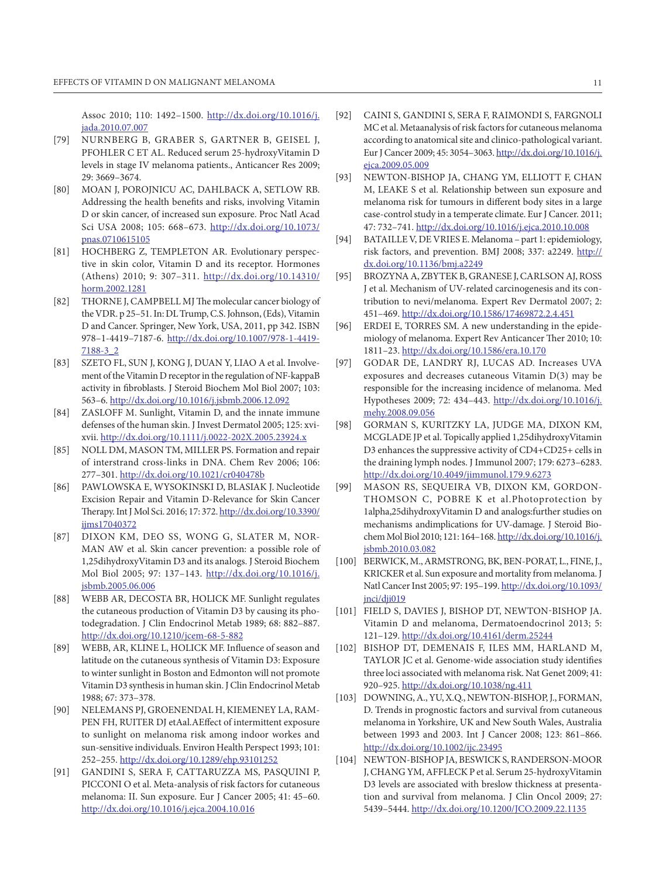Assoc 2010; 110: 1492–1500. [http://dx.doi.org/10.1016/j.](http://dx.doi.org/10.1016/j.jada.2010.07.007) [jada.2010.07.007](http://dx.doi.org/10.1016/j.jada.2010.07.007)

- [79] NUrnberg B, Graber S, Gartner B, Geisel J, PFOHLER C ET AL. Reduced serum 25-hydroxyVitamin D levels in stage IV melanoma patients., Anticancer Res 2009; 29: 3669–3674.
- [80] MOAN J, POROJNICU AC, DAHLBACK A, SETLOW RB. Addressing the health benefits and risks, involving Vitamin D or skin cancer, of increased sun exposure. Proc Natl Acad Sci USA 2008; 105: 668–673. [http://dx.doi.org/10.1073/](http://dx.doi.org/10.1073/pnas.0710615105) [pnas.0710615105](http://dx.doi.org/10.1073/pnas.0710615105)
- [81] HOCHBERG Z, TEMPLETON AR. Evolutionary perspective in skin color, Vitamin D and its receptor. Hormones (Athens) 2010; 9: 307–311. [http://dx.doi.org/10.14310/](http://dx.doi.org/10.14310/horm.2002.1281) [horm.2002.1281](http://dx.doi.org/10.14310/horm.2002.1281)
- [82] THORNE J, CAMPBELL MJ The molecular cancer biology of the VDR. p 25–51. In: DL Trump, C.S. Johnson, (Eds), Vitamin D and Cancer. Springer, New York, USA, 2011, pp 342. ISBN 978–1-4419–7187-6. [http://dx.doi.org/10.1007/978-1-4419-](http://dx.doi.org/10.1007/978-1-4419-7188-3_2) [7188-3\\_2](http://dx.doi.org/10.1007/978-1-4419-7188-3_2)
- [83] SZETO FL, SUN J, KONG J, DUAN Y, LIAO A et al. Involvement of the Vitamin D receptor in the regulation of NF-kappaB activity in fibroblasts. J Steroid Biochem Mol Biol 2007; 103: 563–6.<http://dx.doi.org/10.1016/j.jsbmb.2006.12.092>
- [84] ZASLOFF M. Sunlight, Vitamin D, and the innate immune defenses of the human skin. J Invest Dermatol 2005; 125: xvixvii.<http://dx.doi.org/10.1111/j.0022-202X.2005.23924.x>
- [85] NOLL DM, MASON TM, MILLER PS. Formation and repair of interstrand cross-links in DNA. Chem Rev 2006; 106: 277–301.<http://dx.doi.org/10.1021/cr040478b>
- [86] PAWLOWSKA E, WYSOKINSKI D, BLASIAK J. Nucleotide Excision Repair and Vitamin D-Relevance for Skin Cancer Therapy. Int J Mol Sci. 2016; 17: 372. [http://dx.doi.org/10.3390/](http://dx.doi.org/10.3390/ijms17040372) [ijms17040372](http://dx.doi.org/10.3390/ijms17040372)
- [87] DIXON KM, DEO SS, WONG G, SLATER M, NOR-MAN AW et al. Skin cancer prevention: a possible role of 1,25dihydroxyVitamin D3 and its analogs. J Steroid Biochem Mol Biol 2005; 97: 137–143. [http://dx.doi.org/10.1016/j.](http://dx.doi.org/10.1016/j.jsbmb.2005.06.006) [jsbmb.2005.06.006](http://dx.doi.org/10.1016/j.jsbmb.2005.06.006)
- [88] WEBB AR, DECOSTA BR, HOLICK MF. Sunlight regulates the cutaneous production of Vitamin D3 by causing its photodegradation. J Clin Endocrinol Metab 1989; 68: 882–887. <http://dx.doi.org/10.1210/jcem-68-5-882>
- [89] WEBB, AR, KLINE L, HOLICK MF. Influence of season and latitude on the cutaneous synthesis of Vitamin D3: Exposure to winter sunlight in Boston and Edmonton will not promote Vitamin D3 synthesis in human skin. J Clin Endocrinol Metab 1988; 67: 373–378.
- [90] NELEMANS PJ, GROENENDAL H, KIEMENEY LA, RAM-PEN FH, RUITER DJ etAal.AEffect of intermittent exposure to sunlight on melanoma risk among indoor workes and sun-sensitive individuals. Environ Health Perspect 1993; 101: 252–255.<http://dx.doi.org/10.1289/ehp.93101252>
- [91] GANDINI S, SERA F, CATTARUZZA MS, PASQUINI P, PICCONI O et al. Meta-analysis of risk factors for cutaneous melanoma: II. Sun exposure. Eur J Cancer 2005; 41: 45–60. <http://dx.doi.org/10.1016/j.ejca.2004.10.016>
- [92] CAINI S, GANDINI S, SERA F, RAIMONDI S, FARGNOLI MC et al. Metaanalysis of risk factors for cutaneous melanoma according to anatomical site and clinico-pathological variant. Eur J Cancer 2009; 45: 3054–3063. [http://dx.doi.org/10.1016/j.](http://dx.doi.org/10.1016/j.ejca.2009.05.009) [ejca.2009.05.009](http://dx.doi.org/10.1016/j.ejca.2009.05.009)
- [93] NEWTON-BISHOP JA, CHANG YM, ELLIOTT F, CHAN M, LEAKE S et al. Relationship between sun exposure and melanoma risk for tumours in different body sites in a large case-control study in a temperate climate. Eur J Cancer. 2011; 47: 732–741.<http://dx.doi.org/10.1016/j.ejca.2010.10.008>
- [94] BATAILLE V, DE VRIES E. Melanoma part 1: epidemiology, risk factors, and prevention. BMJ 2008; 337: a2249. [http://](http://dx.doi.org/10.1136/bmj.a2249) [dx.doi.org/10.1136/bmj.a2249](http://dx.doi.org/10.1136/bmj.a2249)
- [95] BROZYNAA, ZBYTEK B, GRANESE J, CARLSON AJ, ROSS J et al. Mechanism of UV-related carcinogenesis and its contribution to nevi/melanoma. Expert Rev Dermatol 2007; 2: 451–469. <http://dx.doi.org/10.1586/17469872.2.4.451>
- [96] ERDEI E, TORRES SM. A new understanding in the epidemiology of melanoma. Expert Rev Anticancer Ther 2010; 10: 1811–23. <http://dx.doi.org/10.1586/era.10.170>
- [97] GODAR DE, LANDRY RJ, LUCAS AD. Increases UVA exposures and decreases cutaneous Vitamin D(3) may be responsible for the increasing incidence of melanoma. Med Hypotheses 2009; 72: 434–443. [http://dx.doi.org/10.1016/j.](http://dx.doi.org/10.1016/j.mehy.2008.09.056) [mehy.2008.09.056](http://dx.doi.org/10.1016/j.mehy.2008.09.056)
- [98] GORMAN S, KURITZKY LA, JUDGE MA, DIXON KM, MCGLADE JP et al. Topically applied 1,25dihydroxyVitamin D3 enhances the suppressive activity of CD4+CD25+ cells in the draining lymph nodes. J Immunol 2007; 179: 6273–6283. <http://dx.doi.org/10.4049/jimmunol.179.9.6273>
- [99] MASON RS, SEQUEIRA VB, DIXON KM, GORDON-THOMSON C, POBRE K et al.Photoprotection by 1alpha,25dihydroxyVitamin D and analogs:further studies on mechanisms andimplications for UV-damage. J Steroid Biochem Mol Biol 2010; 121: 164–168. [http://dx.doi.org/10.1016/j.](http://dx.doi.org/10.1016/j.jsbmb.2010.03.082) [jsbmb.2010.03.082](http://dx.doi.org/10.1016/j.jsbmb.2010.03.082)
- [100] BERWICK, M., ARMSTRONG, BK, BEN-PORAT, L., FINE, J., KRICKER et al. Sun exposure and mortality from melanoma. J Natl Cancer Inst 2005; 97: 195–199. [http://dx.doi.org/10.1093/](http://dx.doi.org/10.1093/jnci/dji019) [jnci/dji019](http://dx.doi.org/10.1093/jnci/dji019)
- [101] FIELD S, DAVIES J, BISHOP DT, NEWTON-BISHOP JA. Vitamin D and melanoma, Dermatoendocrinol 2013; 5: 121–129. <http://dx.doi.org/10.4161/derm.25244>
- [102] BISHOP DT, DEMENAIS F, ILES MM, HARLAND M, TAYLOR JC et al. Genome-wide association study identifies three loci associated with melanoma risk. Nat Genet 2009; 41: 920–925. <http://dx.doi.org/10.1038/ng.411>
- [103] DOWNING, A., YU, X.Q., NEWTON-BISHOP, J., FORMAN, D. Trends in prognostic factors and survival from cutaneous melanoma in Yorkshire, UK and New South Wales, Australia between 1993 and 2003. Int J Cancer 2008; 123: 861–866. <http://dx.doi.org/10.1002/ijc.23495>
- [104] NEWTON-BISHOP JA, BESWICKS, RANDERSON-MOOR J, CHANG YM, AFFLECK P et al. Serum 25-hydroxyVitamin D3 levels are associated with breslow thickness at presentation and survival from melanoma. J Clin Oncol 2009; 27: 5439–5444.<http://dx.doi.org/10.1200/JCO.2009.22.1135>